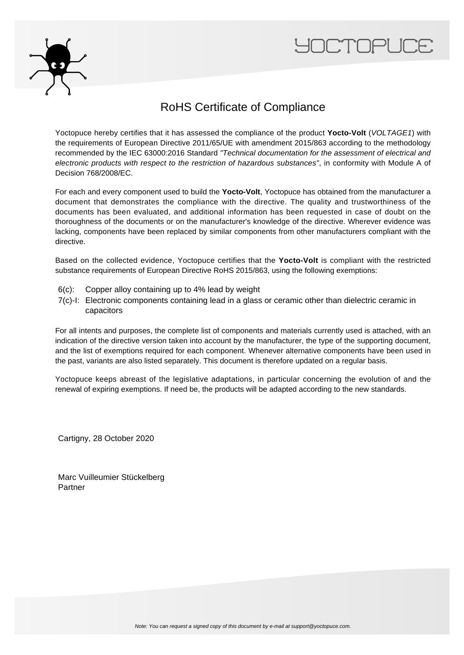



### RoHS Certificate of Compliance

Yoctopuce hereby certifies that it has assessed the compliance of the product **Yocto-Volt** (VOLTAGE1) with the requirements of European Directive 2011/65/UE with amendment 2015/863 according to the methodology recommended by the IEC 63000:2016 Standard "Technical documentation for the assessment of electrical and electronic products with respect to the restriction of hazardous substances", in conformity with Module A of Decision 768/2008/EC.

For each and every component used to build the **Yocto-Volt**, Yoctopuce has obtained from the manufacturer a document that demonstrates the compliance with the directive. The quality and trustworthiness of the documents has been evaluated, and additional information has been requested in case of doubt on the thoroughness of the documents or on the manufacturer's knowledge of the directive. Wherever evidence was lacking, components have been replaced by similar components from other manufacturers compliant with the directive.

Based on the collected evidence, Yoctopuce certifies that the **Yocto-Volt** is compliant with the restricted substance requirements of European Directive RoHS 2015/863, using the following exemptions:

- 6(c): Copper alloy containing up to 4% lead by weight
- 7(c)-I: Electronic components containing lead in a glass or ceramic other than dielectric ceramic in capacitors

For all intents and purposes, the complete list of components and materials currently used is attached, with an indication of the directive version taken into account by the manufacturer, the type of the supporting document, and the list of exemptions required for each component. Whenever alternative components have been used in the past, variants are also listed separately. This document is therefore updated on a regular basis.

Yoctopuce keeps abreast of the legislative adaptations, in particular concerning the evolution of and the renewal of expiring exemptions. If need be, the products will be adapted according to the new standards.

Cartigny, 28 October 2020

Marc Vuilleumier Stückelberg Partner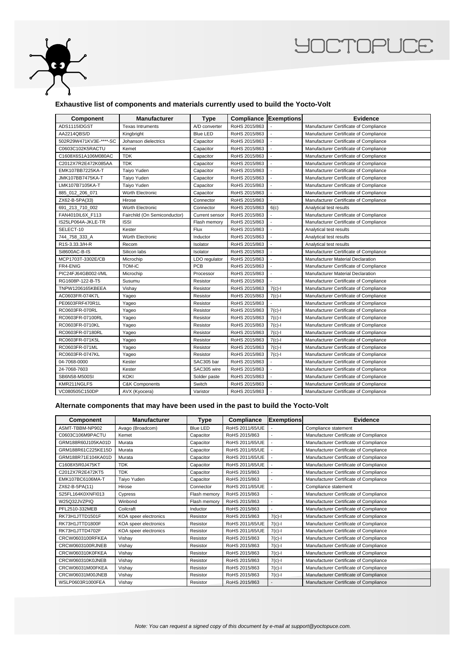

## **YOCTOPUCE**

#### **Exhaustive list of components and materials currently used to build the Yocto-Volt**

| <b>Component</b>       | <b>Manufacturer</b>          | <b>Type</b>     | Compliance    | Exemptions               | <b>Evidence</b>                        |
|------------------------|------------------------------|-----------------|---------------|--------------------------|----------------------------------------|
| ADS1115IDGST           | <b>Texas Intruments</b>      | A/D converter   | RoHS 2015/863 |                          | Manufacturer Certificate of Compliance |
| AA2214QBS/D            | Kingbright                   | <b>Blue LED</b> | RoHS 2015/863 |                          | Manufacturer Certificate of Compliance |
| 502R29W471KV3E-****-SC | Johanson dielectrics         | Capacitor       | RoHS 2015/863 |                          | Manufacturer Certificate of Compliance |
| C0603C102K5RACTU       | Kemet                        | Capacitor       | RoHS 2015/863 |                          | Manufacturer Certificate of Compliance |
| C1608X6S1A106M080AC    | <b>TDK</b>                   | Capacitor       | RoHS 2015/863 |                          | Manufacturer Certificate of Compliance |
| C2012X7R2E472K085AA    | <b>TDK</b>                   | Capacitor       | RoHS 2015/863 | $\overline{a}$           | Manufacturer Certificate of Compliance |
| EMK107BB7225KA-T       | Taiyo Yuden                  | Capacitor       | RoHS 2015/863 | $\blacksquare$           | Manufacturer Certificate of Compliance |
| JMK107BB7475KA-T       | Taiyo Yuden                  | Capacitor       | RoHS 2015/863 | $\overline{a}$           | Manufacturer Certificate of Compliance |
| LMK107B7105KA-T        | Taiyo Yuden                  | Capacitor       | RoHS 2015/863 | $\overline{\phantom{a}}$ | Manufacturer Certificate of Compliance |
| 885_012_206_071        | Würth Electronic             | Capacitor       | RoHS 2015/863 | $\overline{a}$           | Manufacturer Certificate of Compliance |
| ZX62-B-5PA(33)         | Hirose                       | Connector       | RoHS 2015/863 |                          | Manufacturer Certificate of Compliance |
| 691_213_710_002        | Würth Electronic             | Connector       | RoHS 2015/863 | 6(c)                     | Analytical test results                |
| FAN4010IL6X F113       | Fairchild (On Semiconductor) | Current sensor  | RoHS 2015/863 |                          | Manufacturer Certificate of Compliance |
| IS25LP064A-JKLE-TR     | <b>ISSI</b>                  | Flash memory    | RoHS 2015/863 |                          | Manufacturer Certificate of Compliance |
| SELECT-10              | Kester                       | Flux            | RoHS 2015/863 | $\mathbf{r}$             | Analytical test results                |
| 744_758_333_A          | Würth Electronic             | Inductor        | RoHS 2015/863 | $\overline{a}$           | Analytical test results                |
| R1S-3.33.3/H-R         | Recom                        | Isolator        | RoHS 2015/863 |                          | Analytical test results                |
| Si8600AC-B-IS          | Silicon labs                 | Isolator        | RoHS 2015/863 | $\overline{a}$           | Manufacturer Certificate of Compliance |
| MCP1703T-3302E/CB      | Microchip                    | LDO regulator   | RoHS 2015/863 | $\overline{a}$           | Manufacturer Material Declaration      |
| FR4-ENIG               | TOM-iC                       | <b>PCB</b>      | RoHS 2015/863 |                          | Manufacturer Certificate of Compliance |
| PIC24FJ64GB002-I/ML    | Microchip                    | Processor       | RoHS 2015/863 | $\overline{a}$           | Manufacturer Material Declaration      |
| RG1608P-122-B-T5       | Susumu                       | Resistor        | RoHS 2015/863 |                          | Manufacturer Certificate of Compliance |
| TNPW1206165KBEEA       | Vishay                       | Resistor        | RoHS 2015/863 | $7(c)-1$                 | Manufacturer Certificate of Compliance |
| AC0603FR-074K7L        | Yageo                        | Resistor        | RoHS 2015/863 | $7(c)$ -l                | Manufacturer Certificate of Compliance |
| PE0603FRF470R1L        | Yageo                        | Resistor        | RoHS 2015/863 |                          | Manufacturer Certificate of Compliance |
| RC0603FR-070RL         | Yageo                        | Resistor        | RoHS 2015/863 | $7(c)-1$                 | Manufacturer Certificate of Compliance |
| RC0603FR-07100RL       | Yageo                        | Resistor        | RoHS 2015/863 | $7(c)-1$                 | Manufacturer Certificate of Compliance |
| RC0603FR-0710KL        | Yageo                        | Resistor        | RoHS 2015/863 | $7(c)-1$                 | Manufacturer Certificate of Compliance |
| RC0603FR-07180RL       | Yageo                        | Resistor        | RoHS 2015/863 | $7(c)-1$                 | Manufacturer Certificate of Compliance |
| RC0603FR-071K5L        | Yageo                        | Resistor        | RoHS 2015/863 | $7(c)-1$                 | Manufacturer Certificate of Compliance |
| RC0603FR-071ML         | Yageo                        | Resistor        | RoHS 2015/863 | $7(c)-1$                 | Manufacturer Certificate of Compliance |
| RC0603FR-0747KL        | Yageo                        | Resistor        | RoHS 2015/863 | $7(c)-1$                 | Manufacturer Certificate of Compliance |
| 04-7068-0000           | Kester                       | SAC305 bar      | RoHS 2015/863 |                          | Manufacturer Certificate of Compliance |
| 24-7068-7603           | Kester                       | SAC305 wire     | RoHS 2015/863 |                          | Manufacturer Certificate of Compliance |
| SB6N58-M500SI          | <b>KOKI</b>                  | Solder paste    | RoHS 2015/863 | $\mathbf{r}$             | Manufacturer Certificate of Compliance |
| KMR211NGLFS            | <b>C&amp;K Components</b>    | Switch          | RoHS 2015/863 |                          | Manufacturer Certificate of Compliance |
| VC080505C150DP         | AVX (Kyocera)                | Varistor        | RoHS 2015/863 | $\overline{a}$           | Manufacturer Certificate of Compliance |

#### **Alternate components that may have been used in the past to build the Yocto-Volt**

| <b>Component</b>   | <b>Manufacturer</b>   | <b>Type</b>  | Compliance      | <b>Exemptions</b>        | <b>Evidence</b>                        |
|--------------------|-----------------------|--------------|-----------------|--------------------------|----------------------------------------|
| ASMT-TBBM-NP902    | Avago (Broadcom)      | Blue LED     | RoHS 2011/65/UE |                          | Compliance statement                   |
| C0603C106M9PACTU   | Kemet                 | Capacitor    | RoHS 2015/863   |                          | Manufacturer Certificate of Compliance |
| GRM188R60J105KA01D | Murata                | Capacitor    | RoHS 2011/65/UE |                          | Manufacturer Certificate of Compliance |
| GRM188R61C225KE15D | Murata                | Capacitor    | RoHS 2011/65/UE |                          | Manufacturer Certificate of Compliance |
| GRM188R71E104KA01D | Murata                | Capacitor    | RoHS 2011/65/UE |                          | Manufacturer Certificate of Compliance |
| C1608X5R0J475KT    | <b>TDK</b>            | Capacitor    | RoHS 2011/65/UE |                          | Manufacturer Certificate of Compliance |
| C2012X7R2E472KT5   | <b>TDK</b>            | Capacitor    | RoHS 2015/863   |                          | Manufacturer Certificate of Compliance |
| EMK107BC6106MA-T   | Taiyo Yuden           | Capacitor    | RoHS 2015/863   | $\overline{\phantom{a}}$ | Manufacturer Certificate of Compliance |
| ZX62-B-5PA(11)     | Hirose                | Connector    | RoHS 2011/65/UE |                          | Compliance statement                   |
| S25FL164K0XNFI013  | Cypress               | Flash memory | RoHS 2015/863   |                          | Manufacturer Certificate of Compliance |
| W25Q32JVZPIQ       | Winbond               | Flash memory | RoHS 2015/863   |                          | Manufacturer Certificate of Compliance |
| PFL2510-332MEB     | Coilcraft             | Inductor     | RoHS 2015/863   |                          | Manufacturer Certificate of Compliance |
| RK73H1JTTD1501F    | KOA speer electronics | Resistor     | RoHS 2015/863   | $7(c)-1$                 | Manufacturer Certificate of Compliance |
| RK73H1JTTD1800F    | KOA speer electronics | Resistor     | RoHS 2011/65/UE | $7(c)$ -l                | Manufacturer Certificate of Compliance |
| RK73H1JTTD4702F    | KOA speer electronics | Resistor     | RoHS 2011/65/UE | $7(c)-1$                 | Manufacturer Certificate of Compliance |
| CRCW0603100RFKEA   | Vishav                | Resistor     | RoHS 2015/863   | $7(c)-1$                 | Manufacturer Certificate of Compliance |
| CRCW0603100RJNEB   | Vishay                | Resistor     | RoHS 2015/863   | $7(c)$ -l                | Manufacturer Certificate of Compliance |
| CRCW060310K0FKEA   | Vishay                | Resistor     | RoHS 2015/863   | $7(c)-1$                 | Manufacturer Certificate of Compliance |
| CRCW060310K0JNEB   | Vishay                | Resistor     | RoHS 2015/863   | $7(c)-1$                 | Manufacturer Certificate of Compliance |
| CRCW06031M00FKEA   | Vishay                | Resistor     | RoHS 2015/863   | $7(c) - 1$               | Manufacturer Certificate of Compliance |
| CRCW06031M00JNEB   | Vishay                | Resistor     | RoHS 2015/863   | $7(c)-1$                 | Manufacturer Certificate of Compliance |
| WSLP0603R1000FEA   | Vishay                | Resistor     | RoHS 2015/863   |                          | Manufacturer Certificate of Compliance |